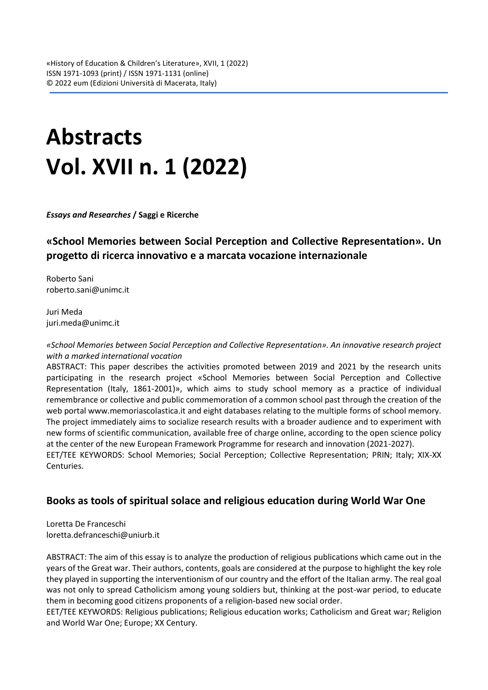# **Abstracts Vol. XVII n. 1 (2022)**

*Essays and Researches* **/ Saggi e Ricerche**

# **«School Memories between Social Perception and Collective Representation». Un progetto di ricerca innovativo e a marcata vocazione internazionale**

Roberto Sani [roberto.sani@unimc.it](mailto:roberto.sani@unimc.it)

Juri Meda [juri.meda@unimc.it](mailto:juri.meda@unimc.it)

*«School Memories between Social Perception and Collective Representation». An innovative research project with a marked international vocation* 

ABSTRACT: This paper describes the activities promoted between 2019 and 2021 by the research units participating in the research project «School Memories between Social Perception and Collective Representation (Italy, 1861-2001)», which aims to study school memory as a practice of individual remembrance or collective and public commemoration of a common school past through the creation of the web portal www.memoriascolastica.it and eight databases relating to the multiple forms of school memory. The project immediately aims to socialize research results with a broader audience and to experiment with new forms of scientific communication, available free of charge online, according to the open science policy at the center of the new European Framework Programme for research and innovation (2021-2027). EET/TEE KEYWORDS: School Memories; Social Perception; Collective Representation; PRIN; Italy; XIX-XX Centuries.

## **Books as tools of spiritual solace and religious education during World War One**

Loretta De Franceschi loretta.defranceschi@uniurb.it

ABSTRACT: The aim of this essay is to analyze the production of religious publications which came out in the years of the Great war. Their authors, contents, goals are considered at the purpose to highlight the key role they played in supporting the interventionism of our country and the effort of the Italian army. The real goal was not only to spread Catholicism among young soldiers but, thinking at the post-war period, to educate them in becoming good citizens proponents of a religion-based new social order.

EET/TEE KEYWORDS: Religious publications; Religious education works; Catholicism and Great war; Religion and World War One; Europe; XX Century.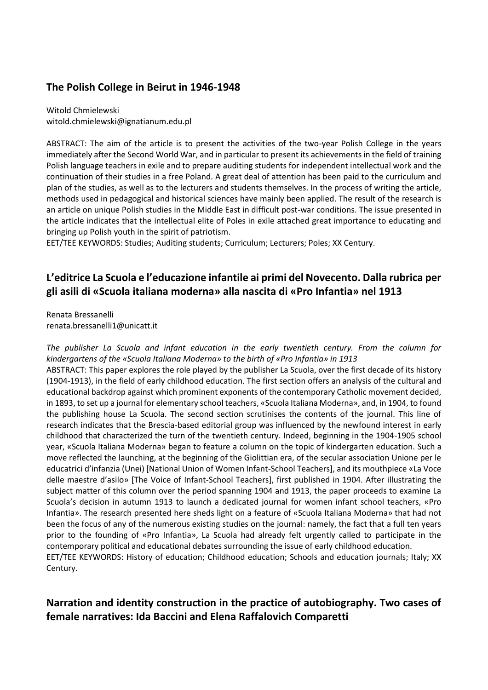## **The Polish College in Beirut in 1946-1948**

Witold Chmielewski [witold.chmielewski@ignatianum.edu.pl](mailto:witold.chmielewski@ignatianum.edu.pl)

ABSTRACT: The aim of the article is to present the activities of the two-year Polish College in the years immediately after the Second World War, and in particular to present its achievements in the field of training Polish language teachers in exile and to prepare auditing students for independent intellectual work and the continuation of their studies in a free Poland. A great deal of attention has been paid to the curriculum and plan of the studies, as well as to the lecturers and students themselves. In the process of writing the article, methods used in pedagogical and historical sciences have mainly been applied. The result of the research is an article on unique Polish studies in the Middle East in difficult post-war conditions. The issue presented in the article indicates that the intellectual elite of Poles in exile attached great importance to educating and bringing up Polish youth in the spirit of patriotism.

EET/TEE KEYWORDS: Studies; Auditing students; Curriculum; Lecturers; Poles; XX Century.

## **L'editrice La Scuola e l'educazione infantile ai primi del Novecento. Dalla rubrica per gli asili di «Scuola italiana moderna» alla nascita di «Pro Infantia» nel 1913**

Renata Bressanelli [renata.bressanelli1@unicatt.it](mailto:renata.bressanelli1@unicatt.it)

*The publisher La Scuola and infant education in the early twentieth century. From the column for kindergartens of the «Scuola Italiana Moderna» to the birth of «Pro Infantia» in 1913*  ABSTRACT: This paper explores the role played by the publisher La Scuola, over the first decade of its history (1904-1913), in the field of early childhood education. The first section offers an analysis of the cultural and educational backdrop against which prominent exponents of the contemporary Catholic movement decided, in 1893, to set up a journal for elementary school teachers, «Scuola Italiana Moderna», and, in 1904, to found the publishing house La Scuola. The second section scrutinises the contents of the journal. This line of research indicates that the Brescia-based editorial group was influenced by the newfound interest in early childhood that characterized the turn of the twentieth century. Indeed, beginning in the 1904-1905 school year, «Scuola Italiana Moderna» began to feature a column on the topic of kindergarten education. Such a move reflected the launching, at the beginning of the Giolittian era, of the secular association Unione per le educatrici d'infanzia (Unei) [National Union of Women Infant-School Teachers], and its mouthpiece «La Voce delle maestre d'asilo» [The Voice of Infant-School Teachers], first published in 1904. After illustrating the subject matter of this column over the period spanning 1904 and 1913, the paper proceeds to examine La Scuola's decision in autumn 1913 to launch a dedicated journal for women infant school teachers, «Pro Infantia». The research presented here sheds light on a feature of «Scuola Italiana Moderna» that had not been the focus of any of the numerous existing studies on the journal: namely, the fact that a full ten years prior to the founding of «Pro Infantia», La Scuola had already felt urgently called to participate in the contemporary political and educational debates surrounding the issue of early childhood education. EET/TEE KEYWORDS: History of education; Childhood education; Schools and education journals; Italy; XX Century.

## **Narration and identity construction in the practice of autobiography. Two cases of female narratives: Ida Baccini and Elena Raffalovich Comparetti**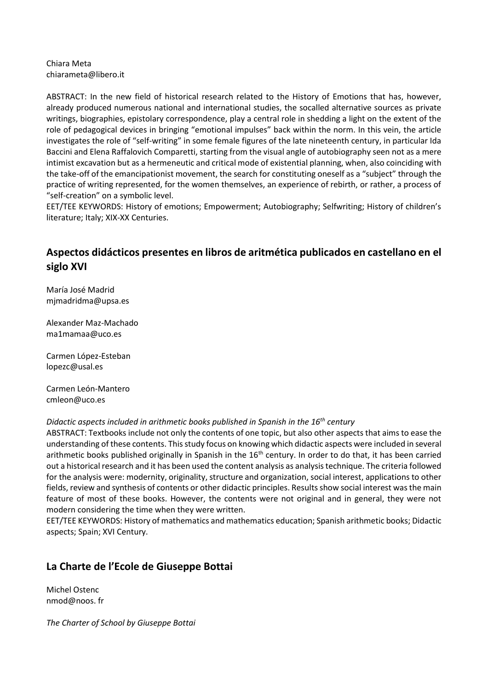#### Chiara Meta [chiarameta@libero.it](mailto:chiarameta@libero.it)

ABSTRACT: In the new field of historical research related to the History of Emotions that has, however, already produced numerous national and international studies, the socalled alternative sources as private writings, biographies, epistolary correspondence, play a central role in shedding a light on the extent of the role of pedagogical devices in bringing "emotional impulses" back within the norm. In this vein, the article investigates the role of "self-writing" in some female figures of the late nineteenth century, in particular Ida Baccini and Elena Raffalovich Comparetti, starting from the visual angle of autobiography seen not as a mere intimist excavation but as a hermeneutic and critical mode of existential planning, when, also coinciding with the take-off of the emancipationist movement, the search for constituting oneself as a "subject" through the practice of writing represented, for the women themselves, an experience of rebirth, or rather, a process of "self-creation" on a symbolic level.

EET/TEE KEYWORDS: History of emotions; Empowerment; Autobiography; Selfwriting; History of children's literature; Italy; XIX-XX Centuries.

## **Aspectos didácticos presentes en libros de aritmética publicados en castellano en el siglo XVI**

María José Madrid [mjmadridma@upsa.es](mailto:mjmadridma@upsa.es)

Alexander Maz-Machado [ma1mamaa@uco.es](mailto:ma1mamaa@uco.es)

Carmen López-Esteban [lopezc@usal.es](mailto:lopezc@usal.es)

Carmen León-Mantero [cmleon@uco.es](mailto:cmleon@uco.es)

*Didactic aspects included in arithmetic books published in Spanish in the 16th century* 

ABSTRACT: Textbooks include not only the contents of one topic, but also other aspects that aims to ease the understanding of these contents. This study focus on knowing which didactic aspects were included in several arithmetic books published originally in Spanish in the 16<sup>th</sup> century. In order to do that, it has been carried out a historical research and it has been used the content analysis as analysis technique. The criteria followed for the analysis were: modernity, originality, structure and organization, social interest, applications to other fields, review and synthesis of contents or other didactic principles. Results show social interest was the main feature of most of these books. However, the contents were not original and in general, they were not modern considering the time when they were written.

EET/TEE KEYWORDS: History of mathematics and mathematics education; Spanish arithmetic books; Didactic aspects; Spain; XVI Century.

## **La Charte de l'Ecole de Giuseppe Bottai**

Michel Ostenc nmod@noos. fr

*The Charter of School by Giuseppe Bottai*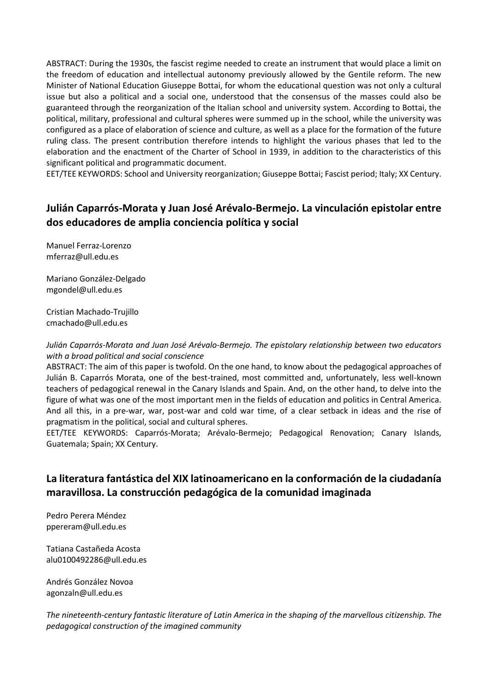ABSTRACT: During the 1930s, the fascist regime needed to create an instrument that would place a limit on the freedom of education and intellectual autonomy previously allowed by the Gentile reform. The new Minister of National Education Giuseppe Bottai, for whom the educational question was not only a cultural issue but also a political and a social one, understood that the consensus of the masses could also be guaranteed through the reorganization of the Italian school and university system. According to Bottai, the political, military, professional and cultural spheres were summed up in the school, while the university was configured as a place of elaboration of science and culture, as well as a place for the formation of the future ruling class. The present contribution therefore intends to highlight the various phases that led to the elaboration and the enactment of the Charter of School in 1939, in addition to the characteristics of this significant political and programmatic document.

EET/TEE KEYWORDS: School and University reorganization; Giuseppe Bottai; Fascist period; Italy; XX Century.

# **Julián Caparrós-Morata y Juan José Arévalo-Bermejo. La vinculación epistolar entre dos educadores de amplia conciencia política y social**

Manuel Ferraz-Lorenzo [mferraz@ull.edu.es](mailto:mferraz@ull.edu.es)

Mariano González-Delgado [mgondel@ull.edu.es](mailto:mgondel@ull.edu.es)

Cristian Machado-Trujillo [cmachado@ull.edu.es](mailto:cmachado@ull.edu.es)

*Julián Caparrós-Morata and Juan José Arévalo-Bermejo. The epistolary relationship between two educators with a broad political and social conscience* 

ABSTRACT: The aim of this paper is twofold. On the one hand, to know about the pedagogical approaches of Julián B. Caparrós Morata, one of the best-trained, most committed and, unfortunately, less well-known teachers of pedagogical renewal in the Canary Islands and Spain. And, on the other hand, to delve into the figure of what was one of the most important men in the fields of education and politics in Central America. And all this, in a pre-war, war, post-war and cold war time, of a clear setback in ideas and the rise of pragmatism in the political, social and cultural spheres.

EET/TEE KEYWORDS: Caparrós-Morata; Arévalo-Bermejo; Pedagogical Renovation; Canary Islands, Guatemala; Spain; XX Century.

# **La literatura fantástica del XIX latinoamericano en la conformación de la ciudadanía maravillosa. La construcción pedagógica de la comunidad imaginada**

Pedro Perera Méndez [ppereram@ull.edu.es](mailto:ppereram@ull.edu.es)

Tatiana Castañeda Acosta [alu0100492286@ull.edu.es](mailto:alu0100492286@ull.edu.es)

Andrés González Novoa [agonzaln@ull.edu.es](mailto:agonzaln@ull.edu.es)

*The nineteenth-century fantastic literature of Latin America in the shaping of the marvellous citizenship. The pedagogical construction of the imagined community*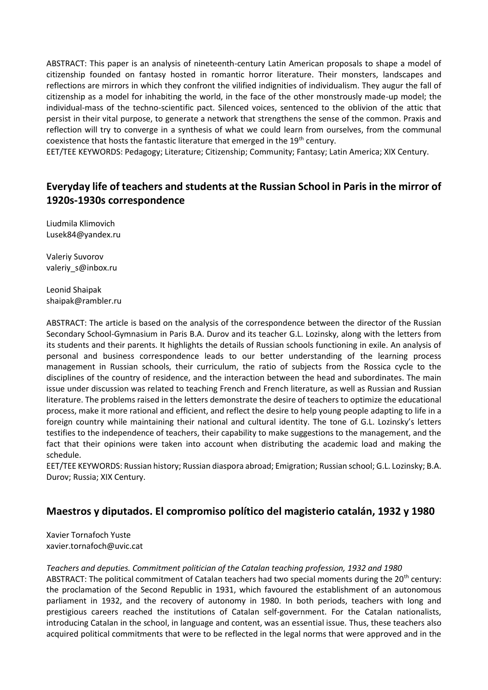ABSTRACT: This paper is an analysis of nineteenth-century Latin American proposals to shape a model of citizenship founded on fantasy hosted in romantic horror literature. Their monsters, landscapes and reflections are mirrors in which they confront the vilified indignities of individualism. They augur the fall of citizenship as a model for inhabiting the world, in the face of the other monstrously made-up model; the individual-mass of the techno-scientific pact. Silenced voices, sentenced to the oblivion of the attic that persist in their vital purpose, to generate a network that strengthens the sense of the common. Praxis and reflection will try to converge in a synthesis of what we could learn from ourselves, from the communal coexistence that hosts the fantastic literature that emerged in the 19<sup>th</sup> century.

EET/TEE KEYWORDS: Pedagogy; Literature; Citizenship; Community; Fantasy; Latin America; XIX Century.

# **Everyday life of teachers and students at the Russian School in Paris in the mirror of 1920s-1930s correspondence**

Liudmila Klimovich [Lusek84@yandex.ru](mailto:Lusek84@yandex.ru)

Valeriy Suvorov [valeriy\\_s@inbox.ru](mailto:valeriy_s@inbox.ru)

Leonid Shaipak [shaipak@rambler.ru](mailto:shaipak@rambler.ru)

ABSTRACT: The article is based on the analysis of the correspondence between the director of the Russian Secondary School-Gymnasium in Paris B.A. Durov and its teacher G.L. Lozinsky, along with the letters from its students and their parents. It highlights the details of Russian schools functioning in exile. An analysis of personal and business correspondence leads to our better understanding of the learning process management in Russian schools, their curriculum, the ratio of subjects from the Rossica cycle to the disciplines of the country of residence, and the interaction between the head and subordinates. The main issue under discussion was related to teaching French and French literature, as well as Russian and Russian literature. The problems raised in the letters demonstrate the desire of teachers to optimize the educational process, make it more rational and efficient, and reflect the desire to help young people adapting to life in a foreign country while maintaining their national and cultural identity. The tone of G.L. Lozinsky's letters testifies to the independence of teachers, their capability to make suggestions to the management, and the fact that their opinions were taken into account when distributing the academic load and making the schedule.

EET/TEE KEYWORDS: Russian history; Russian diaspora abroad; Emigration; Russian school; G.L. Lozinsky; B.A. Durov; Russia; XIX Century.

## **Maestros y diputados. El compromiso político del magisterio catalán, 1932 y 1980**

Xavier Tornafoch Yuste [xavier.tornafoch@uvic.cat](mailto:xavier.tornafoch@uvic.cat)

*Teachers and deputies. Commitment politician of the Catalan teaching profession, 1932 and 1980* 

ABSTRACT: The political commitment of Catalan teachers had two special moments during the 20<sup>th</sup> century: the proclamation of the Second Republic in 1931, which favoured the establishment of an autonomous parliament in 1932, and the recovery of autonomy in 1980. In both periods, teachers with long and prestigious careers reached the institutions of Catalan self-government. For the Catalan nationalists, introducing Catalan in the school, in language and content, was an essential issue. Thus, these teachers also acquired political commitments that were to be reflected in the legal norms that were approved and in the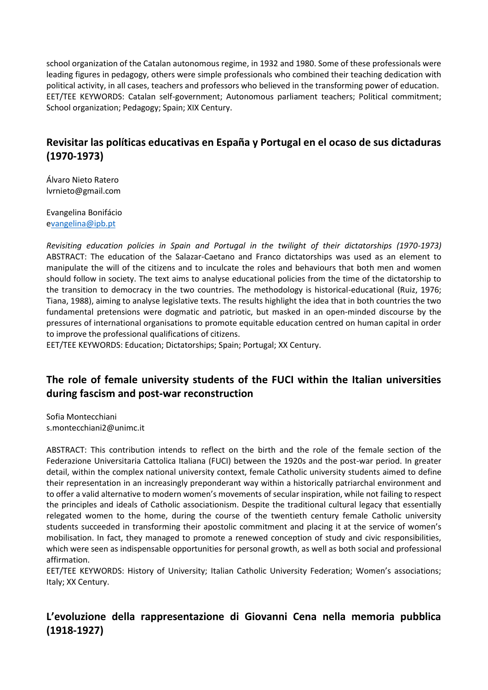school organization of the Catalan autonomous regime, in 1932 and 1980. Some of these professionals were leading figures in pedagogy, others were simple professionals who combined their teaching dedication with political activity, in all cases, teachers and professors who believed in the transforming power of education. EET/TEE KEYWORDS: Catalan self-government; Autonomous parliament teachers; Political commitment; School organization; Pedagogy; Spain; XIX Century.

# **Revisitar las políticas educativas en España y Portugal en el ocaso de sus dictaduras (1970-1973)**

Álvaro Nieto Ratero [lvrnieto@gmail.com](mailto:lvrnieto@gmail.com)

Evangelina Bonifácio [evangelina@ipb.pt](mailto:vangelina@ipb.pt)

*Revisiting education policies in Spain and Portugal in the twilight of their dictatorships (1970-1973)* ABSTRACT: The education of the Salazar-Caetano and Franco dictatorships was used as an element to manipulate the will of the citizens and to inculcate the roles and behaviours that both men and women should follow in society. The text aims to analyse educational policies from the time of the dictatorship to the transition to democracy in the two countries. The methodology is historical-educational (Ruiz, 1976; Tiana, 1988), aiming to analyse legislative texts. The results highlight the idea that in both countries the two fundamental pretensions were dogmatic and patriotic, but masked in an open-minded discourse by the pressures of international organisations to promote equitable education centred on human capital in order to improve the professional qualifications of citizens.

EET/TEE KEYWORDS: Education; Dictatorships; Spain; Portugal; XX Century.

## **The role of female university students of the FUCI within the Italian universities during fascism and post-war reconstruction**

Sofia Montecchiani [s.montecchiani2@unimc.it](mailto:s.montecchiani2@unimc.it)

ABSTRACT: This contribution intends to reflect on the birth and the role of the female section of the Federazione Universitaria Cattolica Italiana (FUCI) between the 1920s and the post-war period. In greater detail, within the complex national university context, female Catholic university students aimed to define their representation in an increasingly preponderant way within a historically patriarchal environment and to offer a valid alternative to modern women's movements of secular inspiration, while not failing to respect the principles and ideals of Catholic associationism. Despite the traditional cultural legacy that essentially relegated women to the home, during the course of the twentieth century female Catholic university students succeeded in transforming their apostolic commitment and placing it at the service of women's mobilisation. In fact, they managed to promote a renewed conception of study and civic responsibilities, which were seen as indispensable opportunities for personal growth, as well as both social and professional affirmation.

EET/TEE KEYWORDS: History of University; Italian Catholic University Federation; Women's associations; Italy; XX Century.

# **L'evoluzione della rappresentazione di Giovanni Cena nella memoria pubblica (1918-1927)**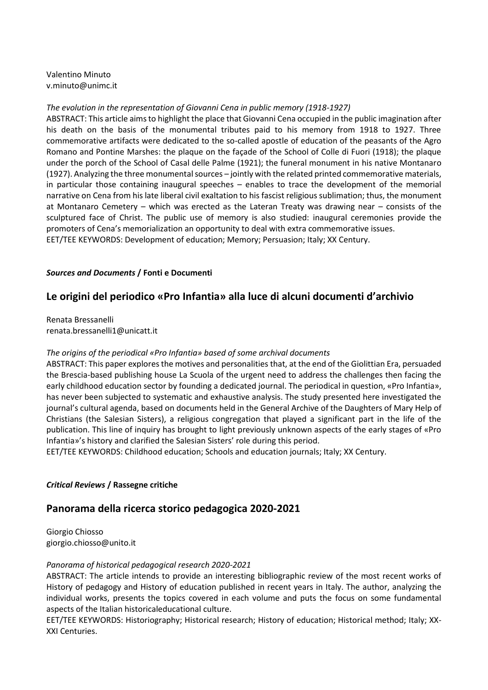Valentino Minuto [v.minuto@unimc.it](mailto:v.minuto@unimc.it)

#### *The evolution in the representation of Giovanni Cena in public memory (1918-1927)*

ABSTRACT: This article aims to highlight the place that Giovanni Cena occupied in the public imagination after his death on the basis of the monumental tributes paid to his memory from 1918 to 1927. Three commemorative artifacts were dedicated to the so-called apostle of education of the peasants of the Agro Romano and Pontine Marshes: the plaque on the façade of the School of Colle di Fuori (1918); the plaque under the porch of the School of Casal delle Palme (1921); the funeral monument in his native Montanaro (1927). Analyzing the three monumental sources – jointly with the related printed commemorative materials, in particular those containing inaugural speeches – enables to trace the development of the memorial narrative on Cena from his late liberal civil exaltation to his fascist religious sublimation; thus, the monument at Montanaro Cemetery – which was erected as the Lateran Treaty was drawing near – consists of the sculptured face of Christ. The public use of memory is also studied: inaugural ceremonies provide the promoters of Cena's memorialization an opportunity to deal with extra commemorative issues. EET/TEE KEYWORDS: Development of education; Memory; Persuasion; Italy; XX Century.

#### *Sources and Documents* **/ Fonti e Documenti**

## **Le origini del periodico «Pro Infantia» alla luce di alcuni documenti d'archivio**

Renata Bressanelli [renata.bressanelli1@unicatt.it](mailto:renata.bressanelli1@unicatt.it)

#### *The origins of the periodical «Pro Infantia» based of some archival documents*

ABSTRACT: This paper explores the motives and personalities that, at the end of the Giolittian Era, persuaded the Brescia-based publishing house La Scuola of the urgent need to address the challenges then facing the early childhood education sector by founding a dedicated journal. The periodical in question, «Pro Infantia», has never been subjected to systematic and exhaustive analysis. The study presented here investigated the journal's cultural agenda, based on documents held in the General Archive of the Daughters of Mary Help of Christians (the Salesian Sisters), a religious congregation that played a significant part in the life of the publication. This line of inquiry has brought to light previously unknown aspects of the early stages of «Pro Infantia»'s history and clarified the Salesian Sisters' role during this period.

EET/TEE KEYWORDS: Childhood education; Schools and education journals; Italy; XX Century.

#### *Critical Reviews* **/ Rassegne critiche**

## **Panorama della ricerca storico pedagogica 2020-2021**

Giorgio Chiosso giorgio.chiosso@unito.it

#### *Panorama of historical pedagogical research 2020-2021*

ABSTRACT: The article intends to provide an interesting bibliographic review of the most recent works of History of pedagogy and History of education published in recent years in Italy. The author, analyzing the individual works, presents the topics covered in each volume and puts the focus on some fundamental aspects of the Italian historicaleducational culture.

EET/TEE KEYWORDS: Historiography; Historical research; History of education; Historical method; Italy; XX-XXI Centuries.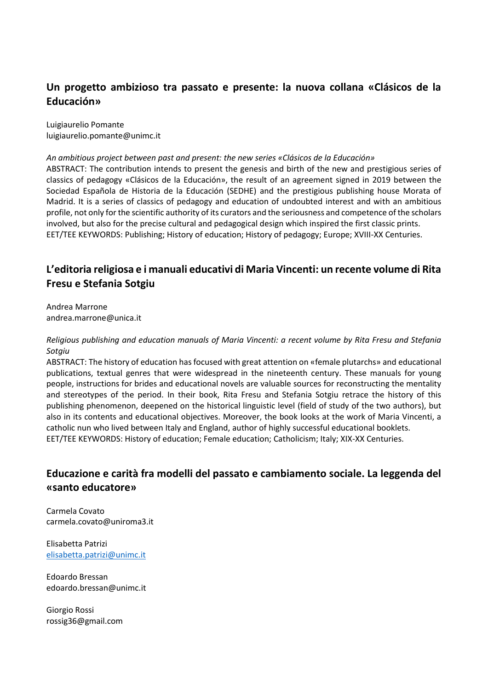# **Un progetto ambizioso tra passato e presente: la nuova collana «Clásicos de la Educación»**

Luigiaurelio Pomante [luigiaurelio.pomante@unimc.it](mailto:luigiaurelio.pomante@unimc.it)

#### *An ambitious project between past and present: the new series «Clásicos de la Educación»*  ABSTRACT: The contribution intends to present the genesis and birth of the new and prestigious series of classics of pedagogy «Clásicos de la Educación», the result of an agreement signed in 2019 between the Sociedad Española de Historia de la Educación (SEDHE) and the prestigious publishing house Morata of Madrid. It is a series of classics of pedagogy and education of undoubted interest and with an ambitious profile, not only for the scientific authority of its curators and the seriousness and competence of the scholars involved, but also for the precise cultural and pedagogical design which inspired the first classic prints. EET/TEE KEYWORDS: Publishing; History of education; History of pedagogy; Europe; XVIII-XX Centuries.

# **L'editoria religiosa e i manuali educativi di Maria Vincenti: un recente volume di Rita Fresu e Stefania Sotgiu**

Andrea Marrone [andrea.marrone@unica.it](mailto:andrea.marrone@unica.it)

#### *Religious publishing and education manuals of Maria Vincenti: a recent volume by Rita Fresu and Stefania Sotgiu*

ABSTRACT: The history of education has focused with great attention on «female plutarchs» and educational publications, textual genres that were widespread in the nineteenth century. These manuals for young people, instructions for brides and educational novels are valuable sources for reconstructing the mentality and stereotypes of the period. In their book, Rita Fresu and Stefania Sotgiu retrace the history of this publishing phenomenon, deepened on the historical linguistic level (field of study of the two authors), but also in its contents and educational objectives. Moreover, the book looks at the work of Maria Vincenti, a catholic nun who lived between Italy and England, author of highly successful educational booklets. EET/TEE KEYWORDS: History of education; Female education; Catholicism; Italy; XIX-XX Centuries.

## **Educazione e carità fra modelli del passato e cambiamento sociale. La leggenda del «santo educatore»**

Carmela Covato [carmela.covato@uniroma3.it](mailto:carmela.covato@uniroma3.it)

Elisabetta Patrizi [elisabetta.patrizi@unimc.it](mailto:elisabetta.patrizi@unimc.it)

Edoardo Bressan [edoardo.bressan@unimc.it](mailto:edoardo.bressan@unimc.it)

Giorgio Rossi [rossig36@gmail.com](mailto:rossig36@gmail.com)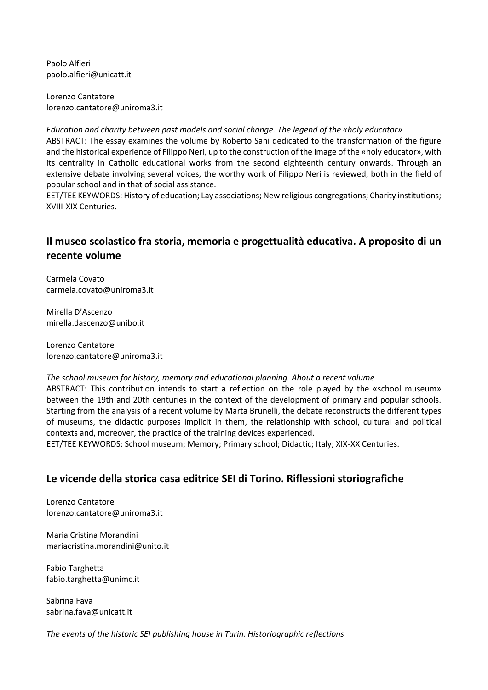Paolo Alfieri [paolo.alfieri@unicatt.it](mailto:paolo.alfieri@unicatt.it)

Lorenzo Cantatore [lorenzo.cantatore@uniroma3.it](mailto:lorenzo.cantatore@uniroma3.it)

*Education and charity between past models and social change. The legend of the «holy educator»*  ABSTRACT: The essay examines the volume by Roberto Sani dedicated to the transformation of the figure and the historical experience of Filippo Neri, up to the construction of the image of the «holy educator», with its centrality in Catholic educational works from the second eighteenth century onwards. Through an extensive debate involving several voices, the worthy work of Filippo Neri is reviewed, both in the field of popular school and in that of social assistance.

EET/TEE KEYWORDS: History of education; Lay associations; New religious congregations; Charity institutions; XVIII-XIX Centuries.

# **Il museo scolastico fra storia, memoria e progettualità educativa. A proposito di un recente volume**

Carmela Covato [carmela.covato@uniroma3.it](mailto:carmela.covato@uniroma3.it)

Mirella D'Ascenzo [mirella.dascenzo@unibo.it](mailto:mirella.dascenzo@unibo.it)

Lorenzo Cantatore [lorenzo.cantatore@uniroma3.it](mailto:lorenzo.cantatore@uniroma3.it)

#### *The school museum for history, memory and educational planning. About a recent volume*

ABSTRACT: This contribution intends to start a reflection on the role played by the «school museum» between the 19th and 20th centuries in the context of the development of primary and popular schools. Starting from the analysis of a recent volume by Marta Brunelli, the debate reconstructs the different types of museums, the didactic purposes implicit in them, the relationship with school, cultural and political contexts and, moreover, the practice of the training devices experienced.

EET/TEE KEYWORDS: School museum; Memory; Primary school; Didactic; Italy; XIX-XX Centuries.

## **Le vicende della storica casa editrice SEI di Torino. Riflessioni storiografiche**

Lorenzo Cantatore [lorenzo.cantatore@uniroma3.it](mailto:lorenzo.cantatore@uniroma3.it)

Maria Cristina Morandini [mariacristina.morandini@unito.it](mailto:mariacristina.morandini@unito.it)

Fabio Targhetta [fabio.targhetta@unimc.it](mailto:fabio.targhetta@unimc.it)

Sabrina Fava [sabrina.fava@unicatt.it](mailto:sabrina.fava@unicatt.it)

*The events of the historic SEI publishing house in Turin. Historiographic reflections*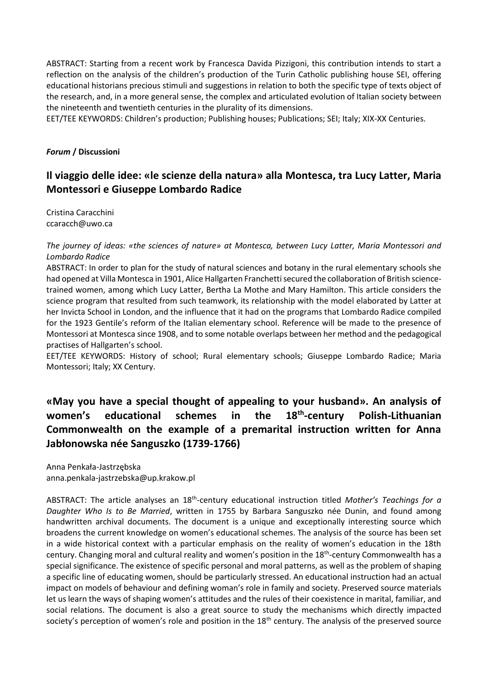ABSTRACT: Starting from a recent work by Francesca Davida Pizzigoni, this contribution intends to start a reflection on the analysis of the children's production of the Turin Catholic publishing house SEI, offering educational historians precious stimuli and suggestions in relation to both the specific type of texts object of the research, and, in a more general sense, the complex and articulated evolution of Italian society between the nineteenth and twentieth centuries in the plurality of its dimensions.

EET/TEE KEYWORDS: Children's production; Publishing houses; Publications; SEI; Italy; XIX-XX Centuries.

#### *Forum* **/ Discussioni**

## **Il viaggio delle idee: «le scienze della natura» alla Montesca, tra Lucy Latter, Maria Montessori e Giuseppe Lombardo Radice**

Cristina Caracchini [ccaracch@uwo.ca](mailto:ccaracch@uwo.ca)

*The journey of ideas: «the sciences of nature» at Montesca, between Lucy Latter, Maria Montessori and Lombardo Radice* 

ABSTRACT: In order to plan for the study of natural sciences and botany in the rural elementary schools she had opened at Villa Montesca in 1901, Alice Hallgarten Franchetti secured the collaboration of British sciencetrained women, among which Lucy Latter, Bertha La Mothe and Mary Hamilton. This article considers the science program that resulted from such teamwork, its relationship with the model elaborated by Latter at her Invicta School in London, and the influence that it had on the programs that Lombardo Radice compiled for the 1923 Gentile's reform of the Italian elementary school. Reference will be made to the presence of Montessori at Montesca since 1908, and to some notable overlaps between her method and the pedagogical practises of Hallgarten's school.

EET/TEE KEYWORDS: History of school; Rural elementary schools; Giuseppe Lombardo Radice; Maria Montessori; Italy; XX Century.

#### **«May you have a special thought of appealing to your husband». An analysis of women's educational schemes in the 18th -century Polish-Lithuanian Commonwealth on the example of a premarital instruction written for Anna Jabłonowska née Sanguszko (1739-1766)**

Anna Penkała-Jastrzębska [anna.penkala-jastrzebska@up.krakow.pl](mailto:anna.penkala-jastrzebska@up.krakow.pl)

ABSTRACT: The article analyses an 18<sup>th</sup>-century educational instruction titled *Mother's Teachings for a Daughter Who Is to Be Married*, written in 1755 by Barbara Sanguszko née Dunin, and found among handwritten archival documents. The document is a unique and exceptionally interesting source which broadens the current knowledge on women's educational schemes. The analysis of the source has been set in a wide historical context with a particular emphasis on the reality of women's education in the 18th century. Changing moral and cultural reality and women's position in the 18<sup>th</sup>-century Commonwealth has a special significance. The existence of specific personal and moral patterns, as well as the problem of shaping a specific line of educating women, should be particularly stressed. An educational instruction had an actual impact on models of behaviour and defining woman's role in family and society. Preserved source materials let us learn the ways of shaping women's attitudes and the rules of their coexistence in marital, familiar, and social relations. The document is also a great source to study the mechanisms which directly impacted society's perception of women's role and position in the 18<sup>th</sup> century. The analysis of the preserved source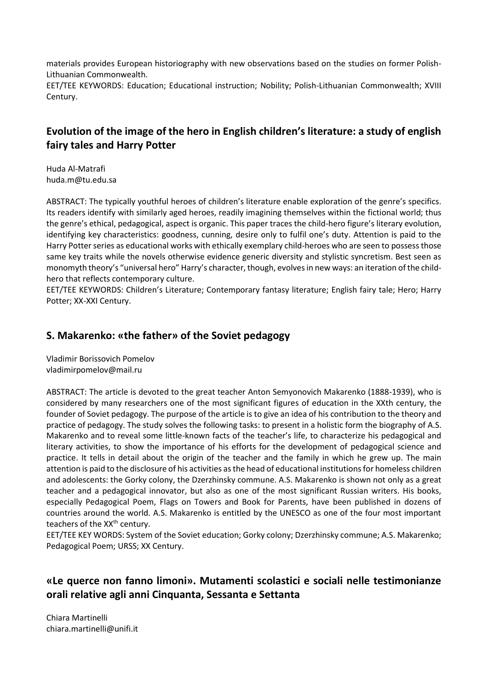materials provides European historiography with new observations based on the studies on former Polish-Lithuanian Commonwealth.

EET/TEE KEYWORDS: Education; Educational instruction; Nobility; Polish-Lithuanian Commonwealth; XVIII Century.

# **Evolution of the image of the hero in English children's literature: a study of english fairy tales and Harry Potter**

Huda Al-Matrafi [huda.m@tu.edu.sa](mailto:huda.m@tu.edu.sa)

ABSTRACT: The typically youthful heroes of children's literature enable exploration of the genre's specifics. Its readers identify with similarly aged heroes, readily imagining themselves within the fictional world; thus the genre's ethical, pedagogical, aspect is organic. This paper traces the child-hero figure's literary evolution, identifying key characteristics: goodness, cunning, desire only to fulfil one's duty. Attention is paid to the Harry Potter series as educational works with ethically exemplary child-heroes who are seen to possess those same key traits while the novels otherwise evidence generic diversity and stylistic syncretism. Best seen as monomyth theory's "universal hero" Harry's character, though, evolves in new ways: an iteration of the childhero that reflects contemporary culture.

EET/TEE KEYWORDS: Children's Literature; Contemporary fantasy literature; English fairy tale; Hero; Harry Potter; XX-XXI Century.

## **S. Makarenko: «the father» of the Soviet pedagogy**

Vladimir Borissovich Pomelov vladimirpomelov@mail.ru

ABSTRACT: The article is devoted to the great teacher Anton Semyonovich Makarenko (1888-1939), who is considered by many researchers one of the most significant figures of education in the XXth century, the founder of Soviet pedagogy. The purpose of the article is to give an idea of his contribution to the theory and practice of pedagogy. The study solves the following tasks: to present in a holistic form the biography of A.S. Makarenko and to reveal some little-known facts of the teacher's life, to characterize his pedagogical and literary activities, to show the importance of his efforts for the development of pedagogical science and practice. It tells in detail about the origin of the teacher and the family in which he grew up. The main attention is paid to the disclosure of his activities as the head of educational institutions for homeless children and adolescents: the Gorky colony, the Dzerzhinsky commune. A.S. Makarenko is shown not only as a great teacher and a pedagogical innovator, but also as one of the most significant Russian writers. His books, especially Pedagogical Poem, Flags on Towers and Book for Parents, have been published in dozens of countries around the world. A.S. Makarenko is entitled by the UNESCO as one of the four most important teachers of the XX<sup>th</sup> century.

EET/TEE KEY WORDS: System of the Soviet education; Gorky colony; Dzerzhinsky commune; A.S. Makarenko; Pedagogical Poem; URSS; XX Century.

# **«Le querce non fanno limoni». Mutamenti scolastici e sociali nelle testimonianze orali relative agli anni Cinquanta, Sessanta e Settanta**

Chiara Martinelli [chiara.martinelli@unifi.it](mailto:chiara.martinelli@unifi.it)